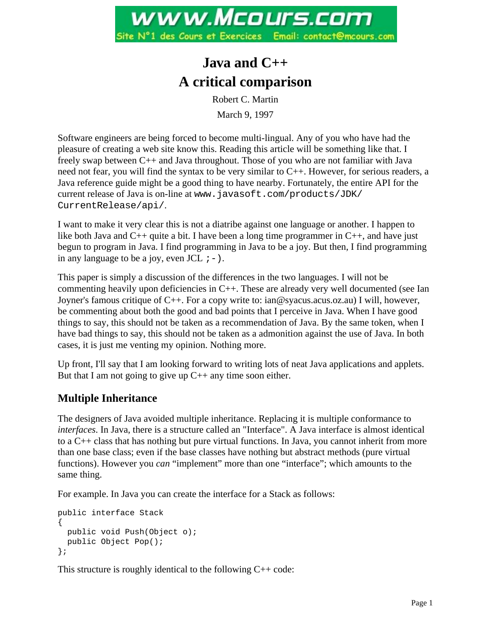www.Mcours.com Site N°1 des Cours et Exercices Email: contact@mcours.com

# **Java and C++ A critical comparison**

Robert C. Martin March 9, 1997

Software engineers are being forced to become multi-lingual. Any of you who have had the pleasure of creating a web site know this. Reading this article will be something like that. I freely swap between C++ and Java throughout. Those of you who are not familiar with Java need not fear, you will find the syntax to be very similar to C++. However, for serious readers, a Java reference guide might be a good thing to have nearby. Fortunately, the entire API for the current release of Java is on-line at www.javasoft.com/products/JDK/ CurrentRelease/api/.

I want to make it very clear this is not a diatribe against one language or another. I happen to like both Java and  $C_{++}$  quite a bit. I have been a long time programmer in  $C_{++}$ , and have just begun to program in Java. I find programming in Java to be a joy. But then, I find programming in any language to be a joy, even JCL  $i -$ ).

This paper is simply a discussion of the differences in the two languages. I will not be commenting heavily upon deficiencies in C++. These are already very well documented (see Ian Joyner's famous critique of C++. For a copy write to: ian@syacus.acus.oz.au) I will, however, be commenting about both the good and bad points that I perceive in Java. When I have good things to say, this should not be taken as a recommendation of Java. By the same token, when I have bad things to say, this should not be taken as a admonition against the use of Java. In both cases, it is just me venting my opinion. Nothing more.

Up front, I'll say that I am looking forward to writing lots of neat Java applications and applets. But that I am not going to give up  $C_{++}$  any time soon either.

# **Multiple Inheritance**

The designers of Java avoided multiple inheritance. Replacing it is multiple conformance to *interfaces*. In Java, there is a structure called an "Interface". A Java interface is almost identical to a C++ class that has nothing but pure virtual functions. In Java, you cannot inherit from more than one base class; even if the base classes have nothing but abstract methods (pure virtual functions). However you *can* "implement" more than one "interface"; which amounts to the same thing.

For example. In Java you can create the interface for a Stack as follows:

```
public interface Stack
\left\{ \right. public void Push(Object o);
   public Object Pop();
};
```
This structure is roughly identical to the following C++ code: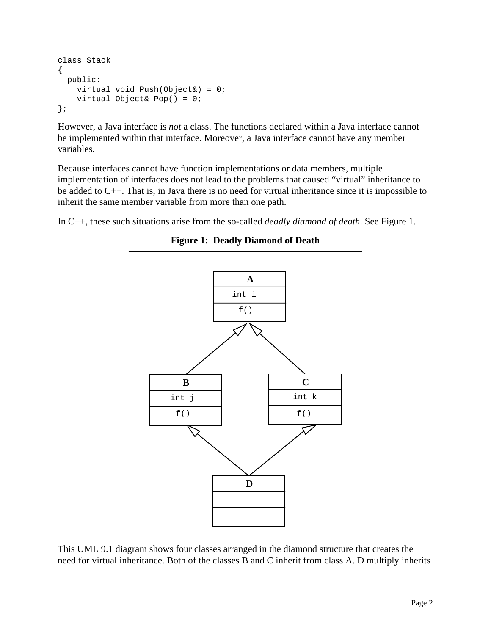```
class Stack
{
   public:
     virtual void Push(Object&) = 0;
     virtual Object& Pop() = 0;
};
```
However, a Java interface is *not* a class. The functions declared within a Java interface cannot be implemented within that interface. Moreover, a Java interface cannot have any member variables.

Because interfaces cannot have function implementations or data members, multiple implementation of interfaces does not lead to the problems that caused "virtual" inheritance to be added to C++. That is, in Java there is no need for virtual inheritance since it is impossible to inherit the same member variable from more than one path.

In C++, these such situations arise from the so-called *deadly diamond of death*. See Figure 1.



**Figure 1: Deadly Diamond of Death**

This UML 9.1 diagram shows four classes arranged in the diamond structure that creates the need for virtual inheritance. Both of the classes B and C inherit from class A. D multiply inherits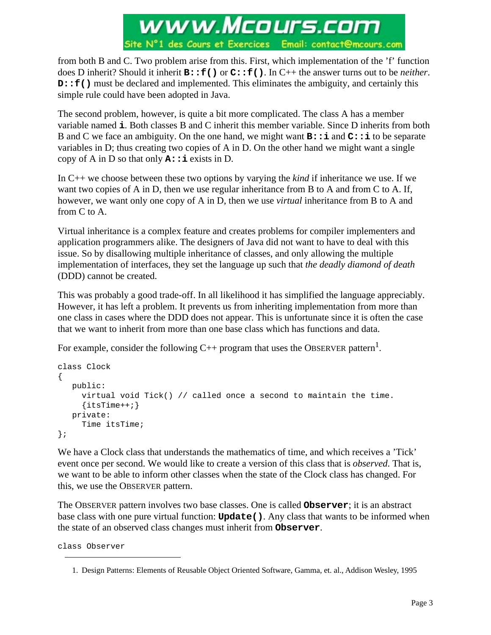

from both B and C. Two problem arise from this. First, which implementation of the 'f' function does D inherit? Should it inherit **B::f()** or **C::f()**. In C++ the answer turns out to be *neither*. **D::f()** must be declared and implemented. This eliminates the ambiguity, and certainly this simple rule could have been adopted in Java.

The second problem, however, is quite a bit more complicated. The class A has a member variable named **i**. Both classes B and C inherit this member variable. Since D inherits from both B and C we face an ambiguity. On the one hand, we might want **B::i** and **C::i** to be separate variables in D; thus creating two copies of A in D. On the other hand we might want a single copy of A in D so that only **A::i** exists in D.

In C++ we choose between these two options by varying the *kind* if inheritance we use. If we want two copies of A in D, then we use regular inheritance from B to A and from C to A. If, however, we want only one copy of A in D, then we use *virtual* inheritance from B to A and from C to A.

Virtual inheritance is a complex feature and creates problems for compiler implementers and application programmers alike. The designers of Java did not want to have to deal with this issue. So by disallowing multiple inheritance of classes, and only allowing the multiple implementation of interfaces, they set the language up such that *the deadly diamond of death* (DDD) cannot be created.

This was probably a good trade-off. In all likelihood it has simplified the language appreciably. However, it has left a problem. It prevents us from inheriting implementation from more than one class in cases where the DDD does not appear. This is unfortunate since it is often the case that we want to inherit from more than one base class which has functions and data.

For example, consider the following  $C_{++}$  program that uses the OBSERVER pattern<sup>1</sup>.

```
class Clock 
{
    public:
      virtual void Tick() // called once a second to maintain the time.
     \{itsTime++; \} private:
      Time itsTime; 
};
```
We have a Clock class that understands the mathematics of time, and which receives a 'Tick' event once per second. We would like to create a version of this class that is *observed*. That is, we want to be able to inform other classes when the state of the Clock class has changed. For this, we use the OBSERVER pattern.

The OBSERVER pattern involves two base classes. One is called **Observer**; it is an abstract base class with one pure virtual function: **Update()**. Any class that wants to be informed when the state of an observed class changes must inherit from **Observer**.

class Observer

<sup>1.</sup> Design Patterns: Elements of Reusable Object Oriented Software, Gamma, et. al., Addison Wesley, 1995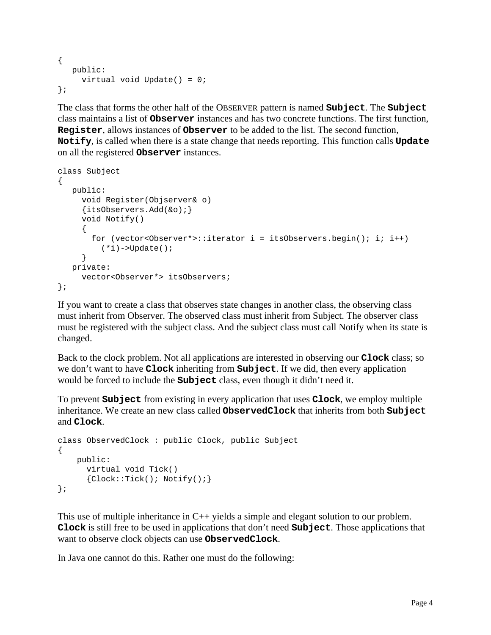```
{
   public:
      virtual void Update() = 0; 
};
```
The class that forms the other half of the OBSERVER pattern is named **Subject**. The **Subject** class maintains a list of **Observer** instances and has two concrete functions. The first function, **Register**, allows instances of **Observer** to be added to the list. The second function, **Notify**, is called when there is a state change that needs reporting. This function calls **Update** on all the registered **Observer** instances.

```
class Subject 
{
    public:
     void Register(Objserver& o)
     \{itsObservers.Add(\&o); \} void Notify()
\{ for (vector<Observer*>::iterator i = itsObservers.begin(); i; i++)
         (*i)->Update();
 }
   private:
      vector<Observer*> itsObservers; 
};
```
If you want to create a class that observes state changes in another class, the observing class must inherit from Observer. The observed class must inherit from Subject. The observer class must be registered with the subject class. And the subject class must call Notify when its state is changed.

Back to the clock problem. Not all applications are interested in observing our **Clock** class; so we don't want to have **Clock** inheriting from **Subject**. If we did, then every application would be forced to include the **Subject** class, even though it didn't need it.

To prevent **Subject** from existing in every application that uses **Clock**, we employ multiple inheritance. We create an new class called **ObservedClock** that inherits from both **Subject** and **Clock**.

```
class ObservedClock : public Clock, public Subject 
\{ public:
       virtual void Tick()
       {Clock::Tick(); Notify();} 
};
```
This use of multiple inheritance in C++ yields a simple and elegant solution to our problem. **Clock** is still free to be used in applications that don't need **Subject**. Those applications that want to observe clock objects can use **ObservedClock**.

In Java one cannot do this. Rather one must do the following: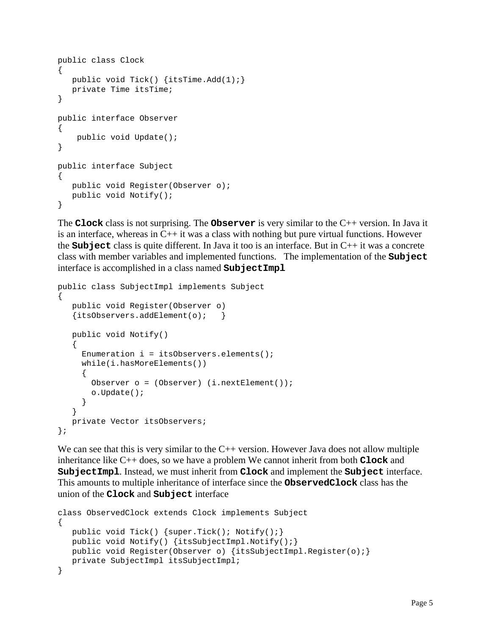```
public class Clock 
{
    public void Tick() {itsTime.Add(1);}
    private Time itsTime; 
}
public interface Observer 
{
     public void Update(); 
}
public interface Subject 
{
    public void Register(Observer o);
    public void Notify(); 
}
```
The **Clock** class is not surprising. The **Observer** is very similar to the C++ version. In Java it is an interface, whereas in  $C_{++}$  it was a class with nothing but pure virtual functions. However the **Subject** class is quite different. In Java it too is an interface. But in C++ it was a concrete class with member variables and implemented functions. The implementation of the **Subject** interface is accomplished in a class named **SubjectImpl**

```
public class SubjectImpl implements Subject 
{
    public void Register(Observer o)
   \{itsObservers.addElement(o); \} public void Notify()
    {
     Enumeration i = itsObservers. elements();
      while(i.hasMoreElements())
      {
       Observer o = (Observer) (i.nextElement());
        o.Update();
 }
    }
    private Vector itsObservers; 
};
```
We can see that this is very similar to the C++ version. However Java does not allow multiple inheritance like C++ does, so we have a problem We cannot inherit from both **Clock** and **SubjectImpl**. Instead, we must inherit from **Clock** and implement the **Subject** interface. This amounts to multiple inheritance of interface since the **ObservedClock** class has the union of the **Clock** and **Subject** interface

```
class ObservedClock extends Clock implements Subject 
{
    public void Tick() {super.Tick(); Notify();}
    public void Notify() {itsSubjectImpl.Notify();}
   public void Register(Observer o) {itsSubjectImpl.Register(o);}
   private SubjectImpl itsSubjectImpl; 
}
```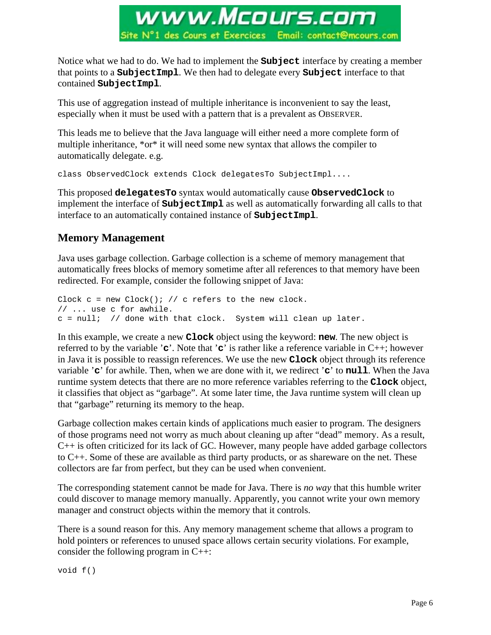Notice what we had to do. We had to implement the **Subject** interface by creating a member that points to a **SubjectImpl**. We then had to delegate every **Subject** interface to that contained **SubjectImpl**.

www.Mcours.com

Site N°1 des Cours et Exercices Email: contact@mcours.com

This use of aggregation instead of multiple inheritance is inconvenient to say the least, especially when it must be used with a pattern that is a prevalent as OBSERVER.

This leads me to believe that the Java language will either need a more complete form of multiple inheritance, \*or\* it will need some new syntax that allows the compiler to automatically delegate. e.g.

class ObservedClock extends Clock delegatesTo SubjectImpl....

This proposed **delegatesTo** syntax would automatically cause **ObservedClock** to implement the interface of **SubjectImpl** as well as automatically forwarding all calls to that interface to an automatically contained instance of **SubjectImpl**.

#### **Memory Management**

Java uses garbage collection. Garbage collection is a scheme of memory management that automatically frees blocks of memory sometime after all references to that memory have been redirected. For example, consider the following snippet of Java:

```
Clock c = new Clock(); // c refers to the new clock.
// ... use c for awhile.
c = null; // done with that clock. System will clean up later.
```
In this example, we create a new **Clock** object using the keyword: **new**. The new object is referred to by the variable '**c**'. Note that '**c**' is rather like a reference variable in C++; however in Java it is possible to reassign references. We use the new **Clock** object through its reference variable '**c**' for awhile. Then, when we are done with it, we redirect '**c**' to **null**. When the Java runtime system detects that there are no more reference variables referring to the **Clock** object, it classifies that object as "garbage". At some later time, the Java runtime system will clean up that "garbage" returning its memory to the heap.

Garbage collection makes certain kinds of applications much easier to program. The designers of those programs need not worry as much about cleaning up after "dead" memory. As a result, C++ is often criticized for its lack of GC. However, many people have added garbage collectors to C++. Some of these are available as third party products, or as shareware on the net. These collectors are far from perfect, but they can be used when convenient.

The corresponding statement cannot be made for Java. There is *no way* that this humble writer could discover to manage memory manually. Apparently, you cannot write your own memory manager and construct objects within the memory that it controls.

There is a sound reason for this. Any memory management scheme that allows a program to hold pointers or references to unused space allows certain security violations. For example, consider the following program in C++:

```
void f()
```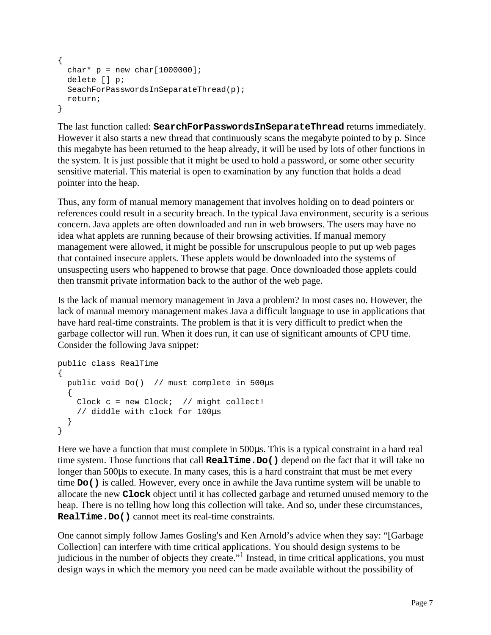```
{
 char* p = new char[1000000];
  delete [] p;
  SeachForPasswordsInSeparateThread(p);
  return;
}
```
The last function called: **SearchForPasswordsInSeparateThread** returns immediately. However it also starts a new thread that continuously scans the megabyte pointed to by p. Since this megabyte has been returned to the heap already, it will be used by lots of other functions in the system. It is just possible that it might be used to hold a password, or some other security sensitive material. This material is open to examination by any function that holds a dead pointer into the heap.

Thus, any form of manual memory management that involves holding on to dead pointers or references could result in a security breach. In the typical Java environment, security is a serious concern. Java applets are often downloaded and run in web browsers. The users may have no idea what applets are running because of their browsing activities. If manual memory management were allowed, it might be possible for unscrupulous people to put up web pages that contained insecure applets. These applets would be downloaded into the systems of unsuspecting users who happened to browse that page. Once downloaded those applets could then transmit private information back to the author of the web page.

Is the lack of manual memory management in Java a problem? In most cases no. However, the lack of manual memory management makes Java a difficult language to use in applications that have hard real-time constraints. The problem is that it is very difficult to predict when the garbage collector will run. When it does run, it can use of significant amounts of CPU time. Consider the following Java snippet:

```
public class RealTime
{
  public void Do() // must complete in 500µs
   {
     Clock c = new Clock; // might collect!
     // diddle with clock for 100µs
   }
}
```
Here we have a function that must complete in 500 $\mu$ s. This is a typical constraint in a hard real time system. Those functions that call **RealTime.Do()** depend on the fact that it will take no longer than 500µs to execute. In many cases, this is a hard constraint that must be met every time **Do()** is called. However, every once in awhile the Java runtime system will be unable to allocate the new **Clock** object until it has collected garbage and returned unused memory to the heap. There is no telling how long this collection will take. And so, under these circumstances, **RealTime.Do()** cannot meet its real-time constraints.

One cannot simply follow James Gosling's and Ken Arnold's advice when they say: "[Garbage Collection] can interfere with time critical applications. You should design systems to be judicious in the number of objects they create."<sup>1</sup> Instead, in time critical applications, you must design ways in which the memory you need can be made available without the possibility of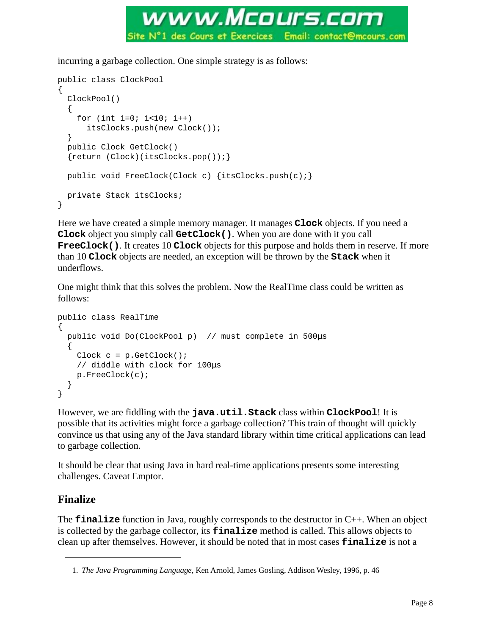

incurring a garbage collection. One simple strategy is as follows:

```
public class ClockPool
{
   ClockPool()
   {
    for (int i=0; i<10; i++)
       itsClocks.push(new Clock());
   }
   public Clock GetClock() 
   {return (Clock)(itsClocks.pop());}
   public void FreeClock(Clock c) {itsClocks.push(c);}
   private Stack itsClocks;
}
```
Here we have created a simple memory manager. It manages **Clock** objects. If you need a **Clock** object you simply call **GetClock()**. When you are done with it you call **FreeClock()**. It creates 10 **Clock** objects for this purpose and holds them in reserve. If more than 10 **Clock** objects are needed, an exception will be thrown by the **Stack** when it underflows.

One might think that this solves the problem. Now the RealTime class could be written as follows:

```
public class RealTime
{
  public void Do(ClockPool p) // must complete in 500µs
 {
   Clock c = p.GetClock(); // diddle with clock for 100µs
     p.FreeClock(c);
   }
}
```
However, we are fiddling with the **java.util.Stack** class within **ClockPool**! It is possible that its activities might force a garbage collection? This train of thought will quickly convince us that using any of the Java standard library within time critical applications can lead to garbage collection.

It should be clear that using Java in hard real-time applications presents some interesting challenges. Caveat Emptor.

## **Finalize**

The **finalize** function in Java, roughly corresponds to the destructor in C++. When an object is collected by the garbage collector, its **finalize** method is called. This allows objects to clean up after themselves. However, it should be noted that in most cases **finalize** is not a

<sup>1.</sup> *The Java Programming Language*, Ken Arnold, James Gosling, Addison Wesley, 1996, p. 46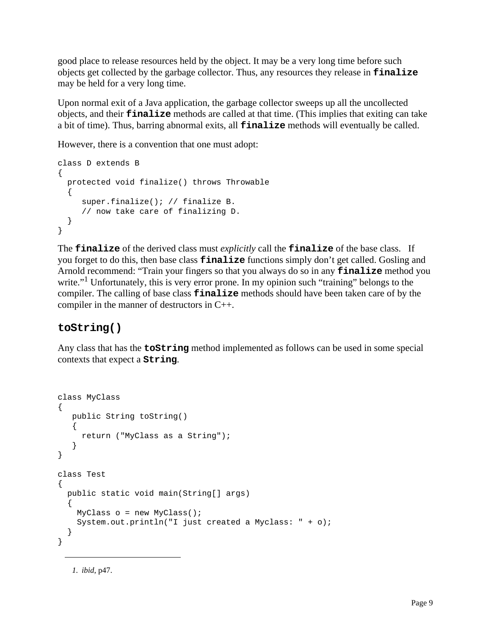good place to release resources held by the object. It may be a very long time before such objects get collected by the garbage collector. Thus, any resources they release in **finalize** may be held for a very long time.

Upon normal exit of a Java application, the garbage collector sweeps up all the uncollected objects, and their **finalize** methods are called at that time. (This implies that exiting can take a bit of time). Thus, barring abnormal exits, all **finalize** methods will eventually be called.

However, there is a convention that one must adopt:

```
class D extends B 
{
  protected void finalize() throws Throwable
   {
      super.finalize(); // finalize B.
      // now take care of finalizing D.
   }
}
```
The **finalize** of the derived class must *explicitly* call the **finalize** of the base class. If you forget to do this, then base class **finalize** functions simply don't get called. Gosling and Arnold recommend: "Train your fingers so that you always do so in any **finalize** method you write."<sup>1</sup> Unfortunately, this is very error prone. In my opinion such "training" belongs to the compiler. The calling of base class **finalize** methods should have been taken care of by the compiler in the manner of destructors in C++.

#### **toString()**

Any class that has the **toString** method implemented as follows can be used in some special contexts that expect a **String**.

```
class MyClass 
{
   public String toString()
    {
     return ("MyClass as a String");
    } 
}
class Test
{
  public static void main(String[] args)
 {
   MyClass o = new MyClass();
     System.out.println("I just created a Myclass: " + o);
   }
}
```
*1. ibid*, p47.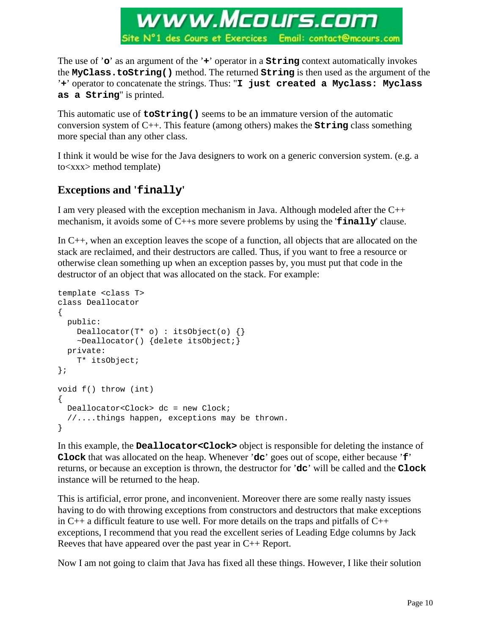The use of '**o**' as an argument of the '**+**' operator in a **String** context automatically invokes the **MyClass.toString()** method. The returned **String** is then used as the argument of the '**+**' operator to concatenate the strings. Thus: "**I just created a Myclass: Myclass as a String**" is printed.

www.Mcours.com

Site N°1 des Cours et Exercices Email: contact@mcours.com

This automatic use of **toString()** seems to be an immature version of the automatic conversion system of C++. This feature (among others) makes the **String** class something more special than any other class.

I think it would be wise for the Java designers to work on a generic conversion system. (e.g. a to<xxx> method template)

## **Exceptions and 'finally'**

I am very pleased with the exception mechanism in Java. Although modeled after the C++ mechanism, it avoids some of C++s more severe problems by using the '**finally**' clause.

In C++, when an exception leaves the scope of a function, all objects that are allocated on the stack are reclaimed, and their destructors are called. Thus, if you want to free a resource or otherwise clean something up when an exception passes by, you must put that code in the destructor of an object that was allocated on the stack. For example:

```
template <class T>
class Deallocator
{
  public:
    Deallocator(T^* o) : itsObject(o) \{\} ~Deallocator() {delete itsObject;}
   private:
     T* itsObject;
};
void f() throw (int)
\left\{ \right. Deallocator<Clock> dc = new Clock;
   //....things happen, exceptions may be thrown.
}
```
In this example, the **Deallocator<Clock>** object is responsible for deleting the instance of **Clock** that was allocated on the heap. Whenever '**dc**' goes out of scope, either because '**f**' returns, or because an exception is thrown, the destructor for '**dc**' will be called and the **Clock** instance will be returned to the heap.

This is artificial, error prone, and inconvenient. Moreover there are some really nasty issues having to do with throwing exceptions from constructors and destructors that make exceptions in  $C_{++}$  a difficult feature to use well. For more details on the traps and pitfalls of  $C_{++}$ exceptions, I recommend that you read the excellent series of Leading Edge columns by Jack Reeves that have appeared over the past year in C++ Report.

Now I am not going to claim that Java has fixed all these things. However, I like their solution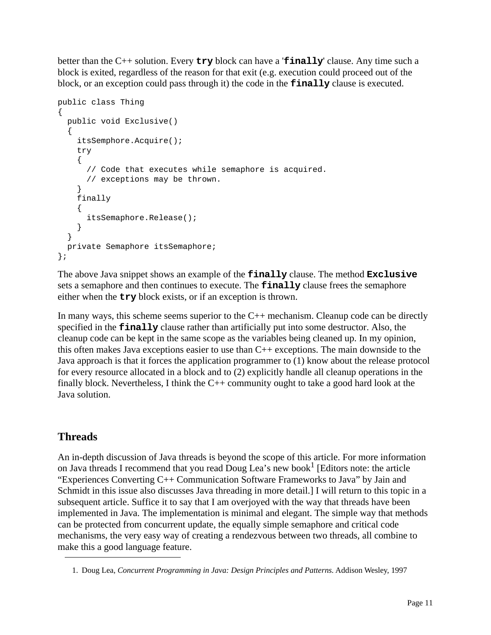better than the C++ solution. Every **try** block can have a '**finally**' clause. Any time such a block is exited, regardless of the reason for that exit (e.g. execution could proceed out of the block, or an exception could pass through it) the code in the **finally** clause is executed.

```
public class Thing
{
  public void Exclusive()
\{ itsSemphore.Acquire();
     try
     {
       // Code that executes while semaphore is acquired.
       // exceptions may be thrown.
     }
     finally
     {
       itsSemaphore.Release();
     }
   }
   private Semaphore itsSemaphore;
};
```
The above Java snippet shows an example of the **finally** clause. The method **Exclusive** sets a semaphore and then continues to execute. The **finally** clause frees the semaphore either when the **try** block exists, or if an exception is thrown.

In many ways, this scheme seems superior to the C++ mechanism. Cleanup code can be directly specified in the **finally** clause rather than artificially put into some destructor. Also, the cleanup code can be kept in the same scope as the variables being cleaned up. In my opinion, this often makes Java exceptions easier to use than C++ exceptions. The main downside to the Java approach is that it forces the application programmer to (1) know about the release protocol for every resource allocated in a block and to (2) explicitly handle all cleanup operations in the finally block. Nevertheless, I think the C++ community ought to take a good hard look at the Java solution.

## **Threads**

An in-depth discussion of Java threads is beyond the scope of this article. For more information on Java threads I recommend that you read Doug Lea's new book<sup>1</sup> [Editors note: the article "Experiences Converting C++ Communication Software Frameworks to Java" by Jain and Schmidt in this issue also discusses Java threading in more detail.] I will return to this topic in a subsequent article. Suffice it to say that I am overjoyed with the way that threads have been implemented in Java. The implementation is minimal and elegant. The simple way that methods can be protected from concurrent update, the equally simple semaphore and critical code mechanisms, the very easy way of creating a rendezvous between two threads, all combine to make this a good language feature.

<sup>1.</sup> Doug Lea, *Concurrent Programming in Java: Design Principles and Patterns.* Addison Wesley, 1997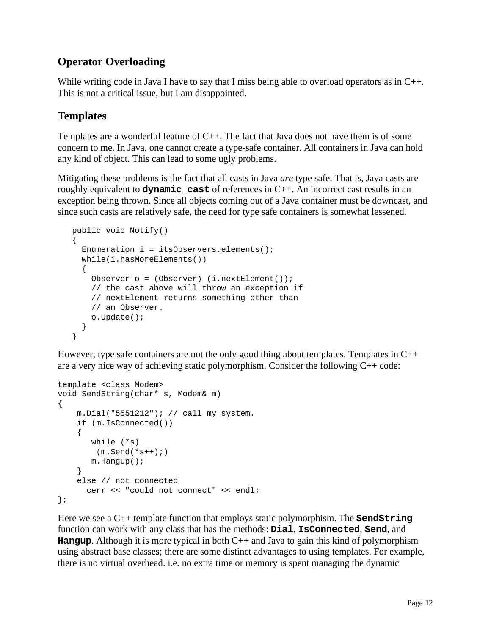# **Operator Overloading**

While writing code in Java I have to say that I miss being able to overload operators as in C++. This is not a critical issue, but I am disappointed.

## **Templates**

Templates are a wonderful feature of C++. The fact that Java does not have them is of some concern to me. In Java, one cannot create a type-safe container. All containers in Java can hold any kind of object. This can lead to some ugly problems.

Mitigating these problems is the fact that all casts in Java *are* type safe. That is, Java casts are roughly equivalent to **dynamic\_cast** of references in C++. An incorrect cast results in an exception being thrown. Since all objects coming out of a Java container must be downcast, and since such casts are relatively safe, the need for type safe containers is somewhat lessened.

```
 public void Notify()
 {
  Enumeration i = itsObservers.elements();
   while(i.hasMoreElements())
   {
    Observer o = (0bserver) (i.nextElement());
     // the cast above will throw an exception if
     // nextElement returns something other than
     // an Observer.
     o.Update();
   }
 }
```
However, type safe containers are not the only good thing about templates. Templates in  $C_{++}$ are a very nice way of achieving static polymorphism. Consider the following C++ code:

```
template <class Modem>
void SendString(char* s, Modem& m)
{
     m.Dial("5551212"); // call my system.
     if (m.IsConnected())
     {
        while (*s) 
        (m.Send(*s++);)
        m.Hangup();
     }
     else // not connected
       cerr << "could not connect" << endl;
};
```
Here we see a C++ template function that employs static polymorphism. The **SendString** function can work with any class that has the methods: **Dial**, **IsConnected**, **Send**, and **Hangup**. Although it is more typical in both C++ and Java to gain this kind of polymorphism using abstract base classes; there are some distinct advantages to using templates. For example, there is no virtual overhead. i.e. no extra time or memory is spent managing the dynamic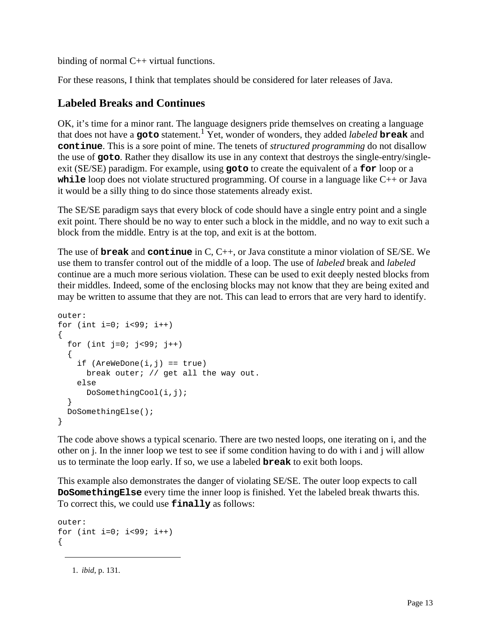binding of normal C++ virtual functions.

For these reasons, I think that templates should be considered for later releases of Java.

#### **Labeled Breaks and Continues**

OK, it's time for a minor rant. The language designers pride themselves on creating a language that does not have a **goto** statement.1 Yet, wonder of wonders, they added *labeled* **break** and **continue**. This is a sore point of mine. The tenets of *structured programming* do not disallow the use of **goto**. Rather they disallow its use in any context that destroys the single-entry/singleexit (SE/SE) paradigm. For example, using **goto** to create the equivalent of a **for** loop or a **while** loop does not violate structured programming. Of course in a language like C++ or Java it would be a silly thing to do since those statements already exist.

The SE/SE paradigm says that every block of code should have a single entry point and a single exit point. There should be no way to enter such a block in the middle, and no way to exit such a block from the middle. Entry is at the top, and exit is at the bottom.

The use of **break** and **continue** in C, C++, or Java constitute a minor violation of SE/SE. We use them to transfer control out of the middle of a loop. The use of *labeled* break and *labeled* continue are a much more serious violation. These can be used to exit deeply nested blocks from their middles. Indeed, some of the enclosing blocks may not know that they are being exited and may be written to assume that they are not. This can lead to errors that are very hard to identify.

```
outer:
for (int i=0; i<99; i++){
  for (int j=0; j<99; j++) {
    if (AreWebone(i, j) == true) break outer; // get all the way out.
     else
       DoSomethingCool(i,j);
   }
  DoSomethingElse();
}
```
The code above shows a typical scenario. There are two nested loops, one iterating on i, and the other on j. In the inner loop we test to see if some condition having to do with i and j will allow us to terminate the loop early. If so, we use a labeled **break** to exit both loops.

This example also demonstrates the danger of violating SE/SE. The outer loop expects to call **DoSomethingElse** every time the inner loop is finished. Yet the labeled break thwarts this. To correct this, we could use **finally** as follows:

```
outer:
for (int i=0; i<99; i++){
```
1. *ibid*, p. 131.